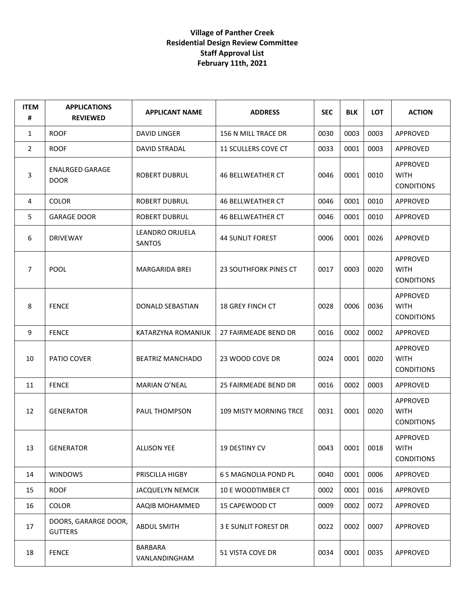| <b>ITEM</b><br># | <b>APPLICATIONS</b><br><b>REVIEWED</b> | <b>APPLICANT NAME</b>     | <b>ADDRESS</b>                | <b>SEC</b> | <b>BLK</b> | <b>LOT</b> | <b>ACTION</b>                                |
|------------------|----------------------------------------|---------------------------|-------------------------------|------------|------------|------------|----------------------------------------------|
| 1                | <b>ROOF</b>                            | <b>DAVID LINGER</b>       | 156 N MILL TRACE DR           | 0030       | 0003       | 0003       | APPROVED                                     |
| $\overline{2}$   | <b>ROOF</b>                            | <b>DAVID STRADAL</b>      | 11 SCULLERS COVE CT           | 0033       | 0001       | 0003       | <b>APPROVED</b>                              |
| 3                | <b>ENALRGED GARAGE</b><br><b>DOOR</b>  | ROBERT DUBRUL             | <b>46 BELLWEATHER CT</b>      | 0046       | 0001       | 0010       | APPROVED<br><b>WITH</b><br><b>CONDITIONS</b> |
| 4                | <b>COLOR</b>                           | ROBERT DUBRUL             | 46 BELLWEATHER CT             | 0046       | 0001       | 0010       | APPROVED                                     |
| 5                | <b>GARAGE DOOR</b>                     | <b>ROBERT DUBRUL</b>      | <b>46 BELLWEATHER CT</b>      | 0046       | 0001       | 0010       | APPROVED                                     |
| 6                | <b>DRIVEWAY</b>                        | LEANDRO ORJUELA<br>SANTOS | <b>44 SUNLIT FOREST</b>       | 0006       | 0001       | 0026       | APPROVED                                     |
| $\overline{7}$   | <b>POOL</b>                            | <b>MARGARIDA BREI</b>     | 23 SOUTHFORK PINES CT         | 0017       | 0003       | 0020       | APPROVED<br><b>WITH</b><br><b>CONDITIONS</b> |
| 8                | <b>FENCE</b>                           | DONALD SEBASTIAN          | <b>18 GREY FINCH CT</b>       | 0028       | 0006       | 0036       | APPROVED<br><b>WITH</b><br><b>CONDITIONS</b> |
| 9                | <b>FENCE</b>                           | KATARZYNA ROMANIUK        | 27 FAIRMEADE BEND DR          | 0016       | 0002       | 0002       | APPROVED                                     |
| 10               | PATIO COVER                            | <b>BEATRIZ MANCHADO</b>   | 23 WOOD COVE DR               | 0024       | 0001       | 0020       | APPROVED<br><b>WITH</b><br><b>CONDITIONS</b> |
| 11               | <b>FENCE</b>                           | MARIAN O'NEAL             | 25 FAIRMEADE BEND DR          | 0016       | 0002       | 0003       | APPROVED                                     |
| 12               | <b>GENERATOR</b>                       | PAUL THOMPSON             | <b>109 MISTY MORNING TRCE</b> | 0031       | 0001       | 0020       | APPROVED<br><b>WITH</b><br><b>CONDITIONS</b> |
| 13               | <b>GENERATOR</b>                       | <b>ALLISON YEE</b>        | 19 DESTINY CV                 | 0043       | 0001       | 0018       | APPROVED<br><b>WITH</b><br><b>CONDITIONS</b> |
| 14               | <b>WINDOWS</b>                         | PRISCILLA HIGBY           | <b>6 S MAGNOLIA POND PL</b>   | 0040       | 0001       | 0006       | APPROVED                                     |
| 15               | <b>ROOF</b>                            | JACQUELYN NEMCIK          | 10 E WOODTIMBER CT            | 0002       | 0001       | 0016       | APPROVED                                     |
| 16               | <b>COLOR</b>                           | AAQIB MOHAMMED            | 15 CAPEWOOD CT                | 0009       | 0002       | 0072       | APPROVED                                     |
| 17               | DOORS, GARARGE DOOR,<br><b>GUTTERS</b> | <b>ABDUL SMITH</b>        | <b>3 E SUNLIT FOREST DR</b>   | 0022       | 0002       | 0007       | APPROVED                                     |
| 18               | <b>FENCE</b>                           | BARBARA<br>VANLANDINGHAM  | 51 VISTA COVE DR              | 0034       | 0001       | 0035       | APPROVED                                     |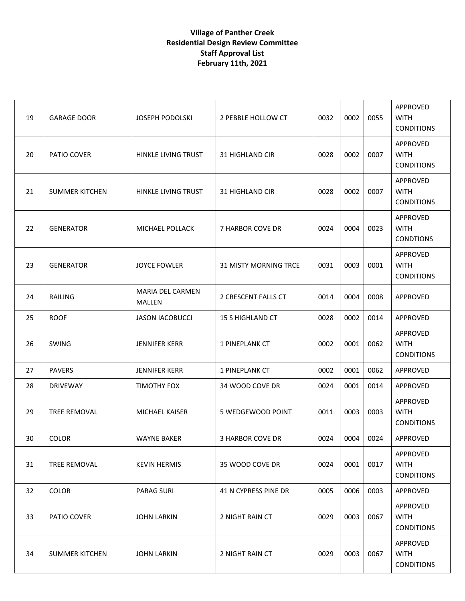| 19 | <b>GARAGE DOOR</b>    | <b>JOSEPH PODOLSKI</b>            | 2 PEBBLE HOLLOW CT           | 0032 | 0002 | 0055 | APPROVED<br><b>WITH</b><br><b>CONDITIONS</b> |
|----|-----------------------|-----------------------------------|------------------------------|------|------|------|----------------------------------------------|
| 20 | PATIO COVER           | HINKLE LIVING TRUST               | <b>31 HIGHLAND CIR</b>       | 0028 | 0002 | 0007 | APPROVED<br><b>WITH</b><br><b>CONDITIONS</b> |
| 21 | <b>SUMMER KITCHEN</b> | HINKLE LIVING TRUST               | 31 HIGHLAND CIR              | 0028 | 0002 | 0007 | APPROVED<br><b>WITH</b><br><b>CONDITIONS</b> |
| 22 | <b>GENERATOR</b>      | MICHAEL POLLACK                   | 7 HARBOR COVE DR             | 0024 | 0004 | 0023 | APPROVED<br><b>WITH</b><br><b>CONDTIONS</b>  |
| 23 | <b>GENERATOR</b>      | <b>JOYCE FOWLER</b>               | <b>31 MISTY MORNING TRCE</b> | 0031 | 0003 | 0001 | APPROVED<br><b>WITH</b><br><b>CONDITIONS</b> |
| 24 | <b>RAILING</b>        | <b>MARIA DEL CARMEN</b><br>MALLEN | 2 CRESCENT FALLS CT          | 0014 | 0004 | 0008 | APPROVED                                     |
| 25 | <b>ROOF</b>           | <b>JASON IACOBUCCI</b>            | <b>15 S HIGHLAND CT</b>      | 0028 | 0002 | 0014 | APPROVED                                     |
| 26 | SWING                 | <b>JENNIFER KERR</b>              | 1 PINEPLANK CT               | 0002 | 0001 | 0062 | APPROVED<br><b>WITH</b><br><b>CONDITIONS</b> |
| 27 | <b>PAVERS</b>         | <b>JENNIFER KERR</b>              | 1 PINEPLANK CT               | 0002 | 0001 | 0062 | APPROVED                                     |
| 28 | <b>DRIVEWAY</b>       | TIMOTHY FOX                       | 34 WOOD COVE DR              | 0024 | 0001 | 0014 | APPROVED                                     |
| 29 | TREE REMOVAL          | <b>MICHAEL KAISER</b>             | 5 WEDGEWOOD POINT            | 0011 | 0003 | 0003 | APPROVED<br><b>WITH</b><br><b>CONDITIONS</b> |
| 30 | COLOR                 | <b>WAYNE BAKER</b>                | 3 HARBOR COVE DR             | 0024 | 0004 | 0024 | APPROVED                                     |
| 31 | TREE REMOVAL          | <b>KEVIN HERMIS</b>               | 35 WOOD COVE DR              | 0024 | 0001 | 0017 | APPROVED<br><b>WITH</b><br><b>CONDITIONS</b> |
| 32 | <b>COLOR</b>          | <b>PARAG SURI</b>                 | 41 N CYPRESS PINE DR         | 0005 | 0006 | 0003 | APPROVED                                     |
| 33 | PATIO COVER           | <b>JOHN LARKIN</b>                | 2 NIGHT RAIN CT              | 0029 | 0003 | 0067 | APPROVED<br><b>WITH</b><br><b>CONDITIONS</b> |
| 34 | <b>SUMMER KITCHEN</b> | <b>JOHN LARKIN</b>                | 2 NIGHT RAIN CT              | 0029 | 0003 | 0067 | APPROVED<br><b>WITH</b><br><b>CONDITIONS</b> |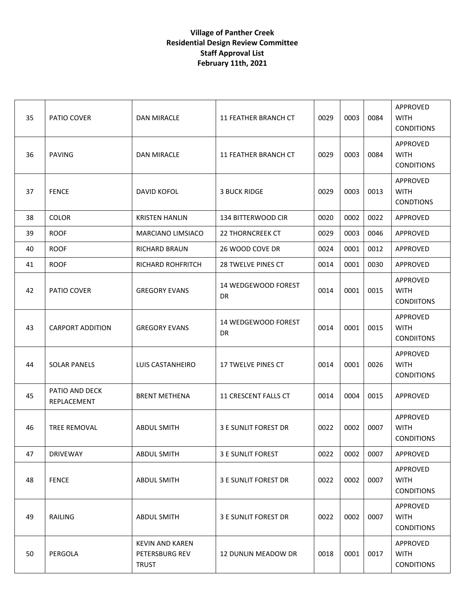| 35 | PATIO COVER                   | <b>DAN MIRACLE</b>                                       | 11 FEATHER BRANCH CT        | 0029 | 0003 | 0084 | APPROVED<br><b>WITH</b><br><b>CONDITIONS</b>        |
|----|-------------------------------|----------------------------------------------------------|-----------------------------|------|------|------|-----------------------------------------------------|
| 36 | <b>PAVING</b>                 | <b>DAN MIRACLE</b>                                       | <b>11 FEATHER BRANCH CT</b> | 0029 | 0003 | 0084 | APPROVED<br><b>WITH</b><br><b>CONDITIONS</b>        |
| 37 | <b>FENCE</b>                  | DAVID KOFOL                                              | <b>3 BUCK RIDGE</b>         | 0029 | 0003 | 0013 | APPROVED<br><b>WITH</b><br><b>CONDTIONS</b>         |
| 38 | <b>COLOR</b>                  | <b>KRISTEN HANLIN</b>                                    | 134 BITTERWOOD CIR          | 0020 | 0002 | 0022 | APPROVED                                            |
| 39 | <b>ROOF</b>                   | MARCIANO LIMSIACO                                        | <b>22 THORNCREEK CT</b>     | 0029 | 0003 | 0046 | APPROVED                                            |
| 40 | <b>ROOF</b>                   | <b>RICHARD BRAUN</b>                                     | 26 WOOD COVE DR             | 0024 | 0001 | 0012 | APPROVED                                            |
| 41 | <b>ROOF</b>                   | <b>RICHARD ROHFRITCH</b>                                 | <b>28 TWELVE PINES CT</b>   | 0014 | 0001 | 0030 | APPROVED                                            |
| 42 | PATIO COVER                   | <b>GREGORY EVANS</b>                                     | 14 WEDGEWOOD FOREST<br>DR   | 0014 | 0001 | 0015 | APPROVED<br><b>WITH</b><br><b>CONDIITONS</b>        |
| 43 | <b>CARPORT ADDITION</b>       | <b>GREGORY EVANS</b>                                     | 14 WEDGEWOOD FOREST<br>DR   | 0014 | 0001 | 0015 | <b>APPROVED</b><br><b>WITH</b><br><b>CONDIITONS</b> |
| 44 | <b>SOLAR PANELS</b>           | LUIS CASTANHEIRO                                         | 17 TWELVE PINES CT          | 0014 | 0001 | 0026 | APPROVED<br><b>WITH</b><br><b>CONDITIONS</b>        |
| 45 | PATIO AND DECK<br>REPLACEMENT | <b>BRENT METHENA</b>                                     | 11 CRESCENT FALLS CT        | 0014 | 0004 | 0015 | APPROVED                                            |
| 46 | TREE REMOVAL                  | <b>ABDUL SMITH</b>                                       | 3 E SUNLIT FOREST DR        | 0022 | 0002 | 0007 | APPROVED<br><b>WITH</b><br><b>CONDITIONS</b>        |
| 47 | <b>DRIVEWAY</b>               | <b>ABDUL SMITH</b>                                       | 3 E SUNLIT FOREST           | 0022 | 0002 | 0007 | APPROVED                                            |
| 48 | <b>FENCE</b>                  | <b>ABDUL SMITH</b>                                       | <b>3 E SUNLIT FOREST DR</b> | 0022 | 0002 | 0007 | <b>APPROVED</b><br><b>WITH</b><br><b>CONDITIONS</b> |
| 49 | RAILING                       | <b>ABDUL SMITH</b>                                       | <b>3 E SUNLIT FOREST DR</b> | 0022 | 0002 | 0007 | APPROVED<br><b>WITH</b><br><b>CONDITIONS</b>        |
| 50 | PERGOLA                       | <b>KEVIN AND KAREN</b><br>PETERSBURG REV<br><b>TRUST</b> | 12 DUNLIN MEADOW DR         | 0018 | 0001 | 0017 | APPROVED<br><b>WITH</b><br><b>CONDITIONS</b>        |